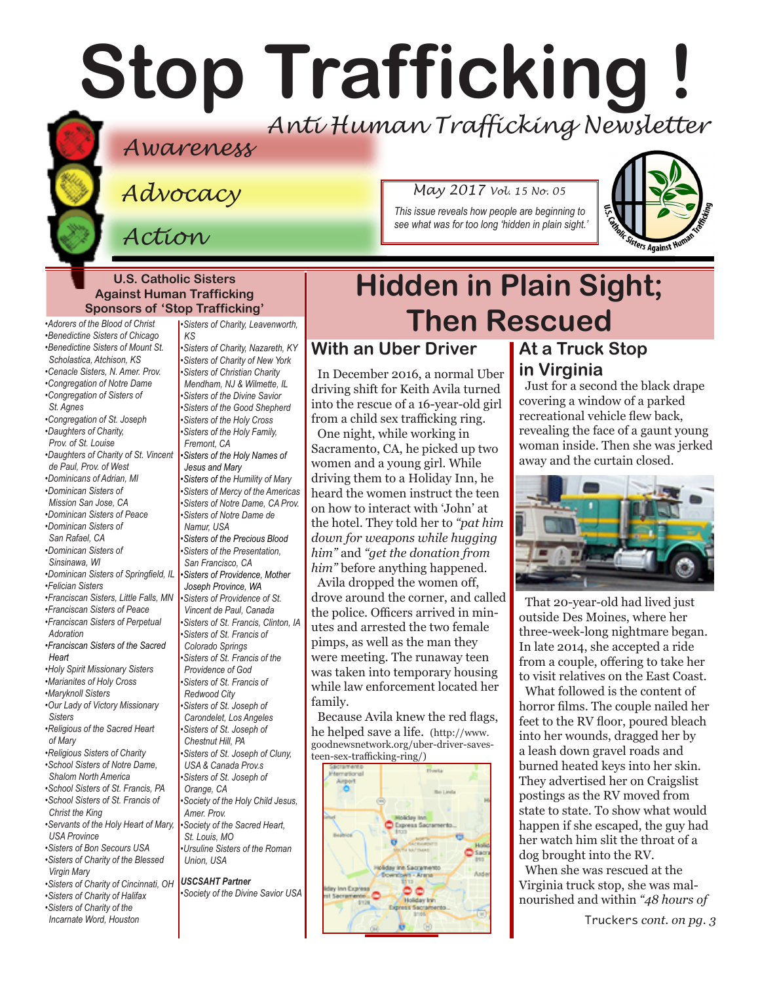# **Stop Trafficking !** *Anti Human Trafficking Newsletter*

### *Awareness*

*Advocacy*

*Action*

*May 2017 Vol. 15 No. 05*

*This issue reveals how people are beginning to see what was for too long 'hidden in plain sight.'*



#### **U.S. Catholic Sisters Against Human Trafficking Sponsors of 'Stop Trafficking'**

*•Benedictine Sisters of Chicago •Benedictine Sisters of Mount St. Scholastica, Atchison, KS •Cenacle Sisters, N. Amer. Prov. •Congregation of Notre Dame •Congregation of Sisters of St. Agnes •Congregation of St. Joseph •Daughters of Charity,* 

*•Adorers of the Blood of Christ* 

*Prov. of St. Louise •Daughters of Charity of St. Vincent* 

- *de Paul, Prov. of West •Dominicans of Adrian, MI*
- *•Dominican Sisters of*
- *Mission San Jose, CA*
- *•Dominican Sisters of Peace •Dominican Sisters of*
- *San Rafael, CA*
- *•Dominican Sisters of Sinsinawa, WI*
- *•Dominican Sisters of Springfield, IL*
- *•Felician Sisters*
- *•Franciscan Sisters, Little Falls, MN*
- *•Franciscan Sisters of Peace •Franciscan Sisters of Perpetual Adoration*
- *•Franciscan Sisters of the Sacred Heart*
- *•Holy Spirit Missionary Sisters*
- *•Marianites of Holy Cross*
- *•Maryknoll Sisters*
- *•Our Lady of Victory Missionary Sisters*
- *•Religious of the Sacred Heart of Mary*
- *•Religious Sisters of Charity •School Sisters of Notre Dame,*
- *Shalom North America •School Sisters of St. Francis, PA •School Sisters of St. Francis of*
- *Christ the King •Servants of the Holy Heart of Mary,*
- *USA Province*
- *•Sisters of Bon Secours USA*
- *•Sisters of Charity of the Blessed Virgin Mary*
- *•Sisters of Charity of Cincinnati, OH*
- *•Sisters of Charity of Halifax •Sisters of Charity of the Incarnate Word, Houston*

*•Sisters of Charity, Leavenworth, KS •Sisters of Charity, Nazareth, KY •Sisters of Charity of New York •Sisters of Christian Charity Mendham, NJ & Wilmette, IL •Sisters of the Divine Savior •Sisters of the Good Shepherd •Sisters of the Holy Cross •Sisters of the Holy Family, Fremont, CA •Sisters of the Holy Names of Jesus and Mary •Sisters of the Humility of Mary •Sisters of Mercy of the Americas •Sisters of Notre Dame, CA Prov. •Sisters of Notre Dame de Namur, USA •Sisters of the Precious Blood •Sisters of the Presentation, San Francisco, CA •Sisters of Providence, Mother Joseph Province, WA •Sisters of Providence of St. Vincent de Paul, Canada •Sisters of St. Francis, Clinton, IA •Sisters of St. Francis of Colorado Springs •Sisters of St. Francis of the Providence of God •Sisters of St. Francis of Redwood City •Sisters of St. Joseph of Carondelet, Los Angeles •Sisters of St. Joseph of Chestnut Hill, PA •Sisters of St. Joseph of Cluny, USA & Canada Prov.s •Sisters of St. Joseph of Orange, CA •Society of the Holy Child Jesus, Amer. Prov. •Society of the Sacred Heart, St. Louis, MO •Ursuline Sisters of the Roman* 

*Union, USA*

#### *USCSAHT Partner*

*•Society of the Divine Savior USA* 

## **Hidden in Plain Sight; Then Rescued**

### **With an Uber Driver**

In December 2016, a normal Uber driving shift for Keith Avila turned into the rescue of a 16-year-old girl from a child sex trafficking ring. One night, while working in Sacramento, CA, he picked up two women and a young girl. While driving them to a Holiday Inn, he heard the women instruct the teen on how to interact with 'John' at the hotel. They told her to *"pat him down for weapons while hugging him"* and *"get the donation from him"* before anything happened. Avila dropped the women off, drove around the corner, and called the police. Officers arrived in minutes and arrested the two female pimps, as well as the man they were meeting. The runaway teen was taken into temporary housing while law enforcement located her family.

Because Avila knew the red flags, he helped save a life. (http://www. goodnewsnetwork.org/uber-driver-savesteen-sex-trafficking-ring/)



### **At a Truck Stop in Virginia**

Just for a second the black drape covering a window of a parked recreational vehicle flew back, revealing the face of a gaunt young woman inside. Then she was jerked away and the curtain closed.



That 20-year-old had lived just outside Des Moines, where her three-week-long nightmare began. In late 2014, she accepted a ride from a couple, offering to take her to visit relatives on the East Coast.

What followed is the content of horror films. The couple nailed her feet to the RV floor, poured bleach into her wounds, dragged her by a leash down gravel roads and burned heated keys into her skin. They advertised her on Craigslist postings as the RV moved from state to state. To show what would happen if she escaped, the guy had her watch him slit the throat of a dog brought into the RV.

When she was rescued at the Virginia truck stop, she was malnourished and within *"48 hours of* 

Truckers *cont. on pg. 3*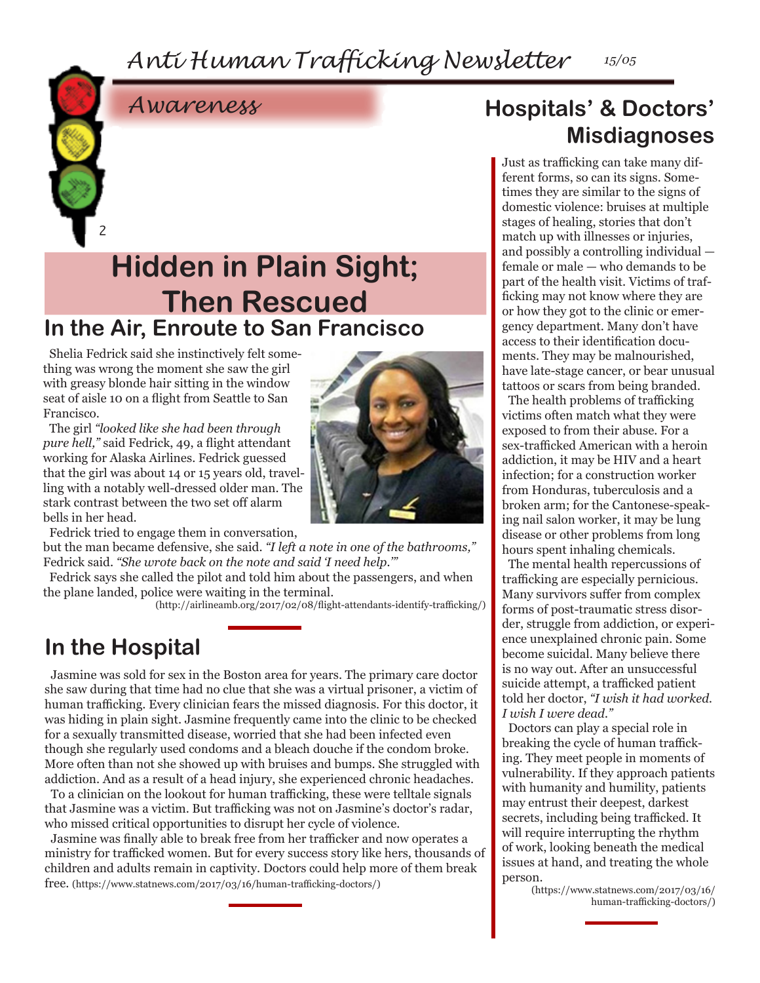*Anti Human Trafficking Newsletter 15/05*



### **In the Air, Enroute to San Francisco Hidden in Plain Sight; Then Rescued**

Shelia Fedrick said she instinctively felt something was wrong the moment she saw the girl with greasy blonde hair sitting in the window seat of aisle 10 on a flight from Seattle to San Francisco.

2

The girl *"looked like she had been through pure hell,"* said Fedrick, 49, a flight attendant working for Alaska Airlines. Fedrick guessed that the girl was about 14 or 15 years old, travelling with a notably well-dressed older man. The stark contrast between the two set off alarm bells in her head.

Fedrick tried to engage them in conversation,

but the man became defensive, she said. *"I left a note in one of the bathrooms,"* Fedrick said. *"She wrote back on the note and said 'I need help.'"*

Fedrick says she called the pilot and told him about the passengers, and when the plane landed, police were waiting in the terminal.

(http://airlineamb.org/2017/02/08/flight-attendants-identify-trafficking/)

### **In the Hospital**

Jasmine was sold for sex in the Boston area for years. The primary care doctor she saw during that time had no clue that she was a virtual prisoner, a victim of human trafficking. Every clinician fears the missed diagnosis. For this doctor, it was hiding in plain sight. Jasmine frequently came into the clinic to be checked for a sexually transmitted disease, worried that she had been infected even though she regularly used condoms and a bleach douche if the condom broke. More often than not she showed up with bruises and bumps. She struggled with addiction. And as a result of a head injury, she experienced chronic headaches.

To a clinician on the lookout for human trafficking, these were telltale signals that Jasmine was a victim. But trafficking was not on Jasmine's doctor's radar, who missed critical opportunities to disrupt her cycle of violence.

Jasmine was finally able to break free from her trafficker and now operates a ministry for trafficked women. But for every success story like hers, thousands of children and adults remain in captivity. Doctors could help more of them break free. (https://www.statnews.com/2017/03/16/human-trafficking-doctors/)

### **Hospitals' & Doctors' Misdiagnoses**

Just as trafficking can take many different forms, so can its signs. Sometimes they are similar to the signs of domestic violence: bruises at multiple stages of healing, stories that don't match up with illnesses or injuries, and possibly a controlling individual female or male — who demands to be part of the health visit. Victims of trafficking may not know where they are or how they got to the clinic or emergency department. Many don't have access to their identification documents. They may be malnourished, have late-stage cancer, or bear unusual tattoos or scars from being branded.

The health problems of trafficking victims often match what they were exposed to from their abuse. For a sex-trafficked American with a heroin addiction, it may be HIV and a heart infection; for a construction worker from Honduras, tuberculosis and a broken arm; for the Cantonese-speaking nail salon worker, it may be lung disease or other problems from long hours spent inhaling chemicals.

The mental health repercussions of trafficking are especially pernicious. Many survivors suffer from complex forms of post-traumatic stress disorder, struggle from addiction, or experience unexplained chronic pain. Some become suicidal. Many believe there is no way out. After an unsuccessful suicide attempt, a trafficked patient told her doctor, *"I wish it had worked. I wish I were dead."*

Doctors can play a special role in breaking the cycle of human trafficking. They meet people in moments of vulnerability. If they approach patients with humanity and humility, patients may entrust their deepest, darkest secrets, including being trafficked. It will require interrupting the rhythm of work, looking beneath the medical issues at hand, and treating the whole person.

(https://www.statnews.com/2017/03/16/ human-trafficking-doctors/)

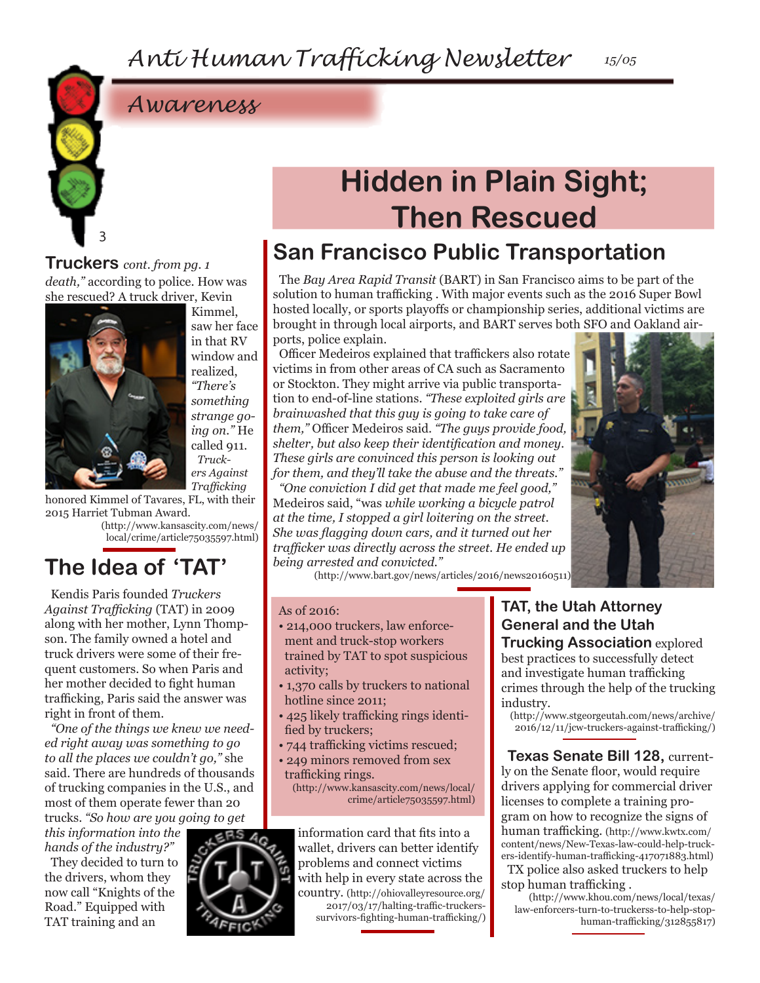### *Awareness*

### **Hidden in Plain Sight; Then Rescued**

### **San Francisco Public Transportation**

The *Bay Area Rapid Transit* (BART) in San Francisco aims to be part of the solution to human trafficking . With major events such as the 2016 Super Bowl hosted locally, or sports playoffs or championship series, additional victims are brought in through local airports, and BART serves both SFO and Oakland airports, police explain.

Officer Medeiros explained that traffickers also rotate victims in from other areas of CA such as Sacramento or Stockton. They might arrive via public transportation to end-of-line stations. *"These exploited girls are brainwashed that this guy is going to take care of them,"* Officer Medeiros said. *"The guys provide food, shelter, but also keep their identification and money. These girls are convinced this person is looking out for them, and they'll take the abuse and the threats."*

*"One conviction I did get that made me feel good,"*  Medeiros said, "was *while working a bicycle patrol at the time, I stopped a girl loitering on the street. She was flagging down cars, and it turned out her trafficker was directly across the street. He ended up being arrested and convicted."*

(http://www.bart.gov/news/articles/2016/news20160511)

#### As of 2016:

- 214,000 truckers, law enforcement and truck-stop workers trained by TAT to spot suspicious activity;
- 1,370 calls by truckers to national hotline since 2011;
- 425 likely trafficking rings identified by truckers;
- 744 trafficking victims rescued;
- 249 minors removed from sex trafficking rings. (http://www.kansascity.com/news/local/ crime/article75035597.html)

information card that fits into a wallet, drivers can better identify problems and connect victims with help in every state across the country. (http://ohiovalleyresource.org/ 2017/03/17/halting-traffic-truckerssurvivors-fighting-human-trafficking/)

**TAT, the Utah Attorney General and the Utah Trucking Association** explored best practices to successfully detect and investigate human trafficking crimes through the help of the trucking industry.

(http://www.stgeorgeutah.com/news/archive/ 2016/12/11/jcw-truckers-against-trafficking/)

**Texas Senate Bill 128,** currently on the Senate floor, would require drivers applying for commercial driver licenses to complete a training program on how to recognize the signs of human trafficking. (http://www.kwtx.com/ content/news/New-Texas-law-could-help-truckers-identify-human-trafficking-417071883.html) TX police also asked truckers to help stop human trafficking .

(http://www.khou.com/news/local/texas/ law-enforcers-turn-to-truckerss-to-help-stophuman-trafficking/312855817)

*death,"* according to police. How was she rescued? A truck driver, Kevin **Truckers** *cont. from pg. 1*



3

Kimmel, saw her face in that RV window and realized, *"There's something strange going on."* He called 911. *Truckers Against Trafficking*

honored Kimmel of Tavares, FL, with their 2015 Harriet Tubman Award.

(http://www.kansascity.com/news/ local/crime/article75035597.html)

### **The Idea of 'TAT'**

Kendis Paris founded *Truckers Against Trafficking* (TAT) in 2009 along with her mother, Lynn Thompson. The family owned a hotel and truck drivers were some of their frequent customers. So when Paris and her mother decided to fight human trafficking, Paris said the answer was right in front of them.

*"One of the things we knew we needed right away was something to go to all the places we couldn't go,"* she said. There are hundreds of thousands of trucking companies in the U.S., and most of them operate fewer than 20 trucks. *"So how are you going to get* 

*this information into the hands of the industry?"*

They decided to turn to the drivers, whom they now call "Knights of the Road." Equipped with TAT training and an

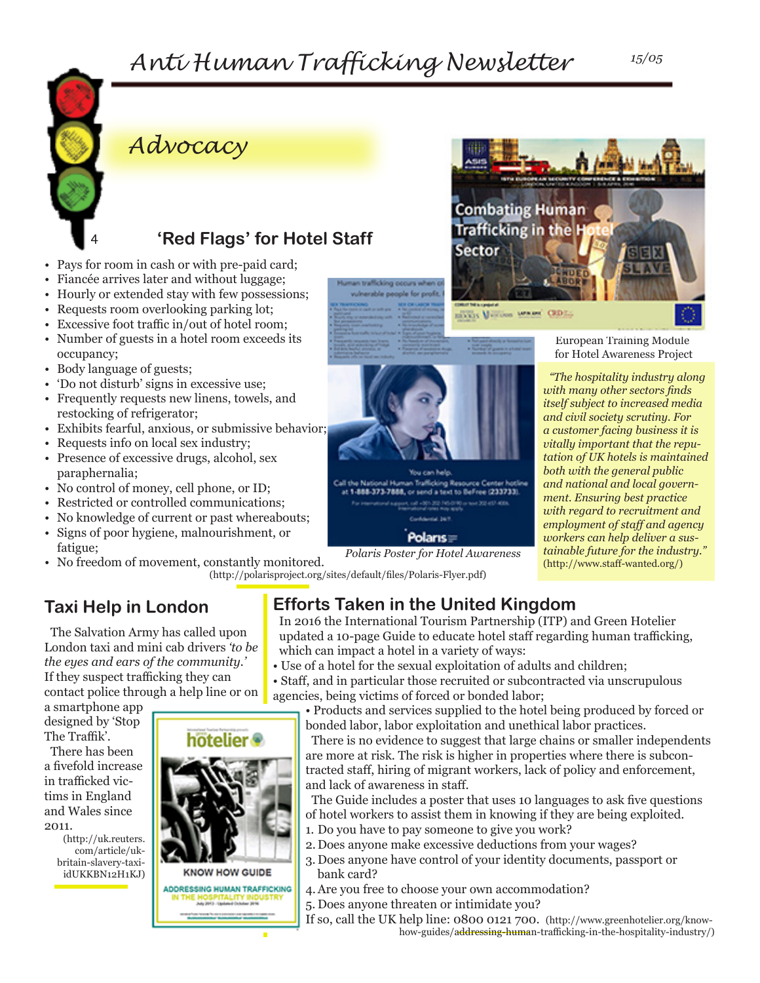### *Anti Human Trafficking Newsletter 15/05*

n trafficking occurs when o ulnerable people for profit.



### *Advocacy*

### **'Red Flags' for Hotel Staff**

- Pays for room in cash or with pre-paid card;
- Fiancée arrives later and without luggage;
- Hourly or extended stay with few possessions;
- Requests room overlooking parking lot;
- Excessive foot traffic in/out of hotel room;
- Number of guests in a hotel room exceeds its occupancy;
- Body language of guests;
- 'Do not disturb' signs in excessive use;
- Frequently requests new linens, towels, and restocking of refrigerator;
- Exhibits fearful, anxious, or submissive behavior;
- Requests info on local sex industry;
- Presence of excessive drugs, alcohol, sex paraphernalia;
- No control of money, cell phone, or ID;
- Restricted or controlled communications;
- No knowledge of current or past whereabouts;
- Signs of poor hygiene, malnourishment, or fatigue;
- No freedom of movement, constantly monitored. (http://polarisproject.org/sites/default/files/Polaris-Flyer.pdf)

### **Taxi Help in London**

The Salvation Army has called upon London taxi and mini cab drivers *'to be the eyes and ears of the community.'* If they suspect trafficking they can contact police through a help line or on

a smartphone app designed by 'Stop The Traffik'.

There has been a fivefold increase in trafficked victims in England and Wales since 2011.

> (http://uk.reuters. com/article/ukbritain-slavery-taxiidUKKBN12H1KJ)





*Polaris Poster for Hotel Awareness* 

You can help onal Human Trafficking Resource Center h

> **Confidential 347** Polaris=

1-888-373-7888, or send a text to BeFree (233733).

ult +361-202 Feb 0190 or nove 202 e121 400<br>World railed they leads

Call the New

In 2016 the International Tourism Partnership (ITP) and Green Hotelier updated a 10-page Guide to educate hotel staff regarding human trafficking, which can impact a hotel in a variety of ways:

- Use of a hotel for the sexual exploitation of adults and children;
- Staff, and in particular those recruited or subcontracted via unscrupulous agencies, being victims of forced or bonded labor;

• Products and services supplied to the hotel being produced by forced or bonded labor, labor exploitation and unethical labor practices.

There is no evidence to suggest that large chains or smaller independents are more at risk. The risk is higher in properties where there is subcontracted staff, hiring of migrant workers, lack of policy and enforcement, and lack of awareness in staff.

The Guide includes a poster that uses 10 languages to ask five questions of hotel workers to assist them in knowing if they are being exploited.

- 1. Do you have to pay someone to give you work?
- 2. Does anyone make excessive deductions from your wages?
- 3. Does anyone have control of your identity documents, passport or bank card?
- 4.Are you free to choose your own accommodation?
- 5. Does anyone threaten or intimidate you?
- If so, call the UK help line: 0800 0121 700. (http://www.greenhotelier.org/knowhow-guides/addressing-human-trafficking-in-the-hospitality-industry/)

*"The hospitality industry along with many other sectors finds itself subject to increased media and civil society scrutiny. For a customer facing business it is vitally important that the reputation of UK hotels is maintained both with the general public and national and local government. Ensuring best practice with regard to recruitment and employment of staff and agency workers can help deliver a sustainable future for the industry."*  (http://www.staff-wanted.org/)

European Training Module for Hotel Awareness Project

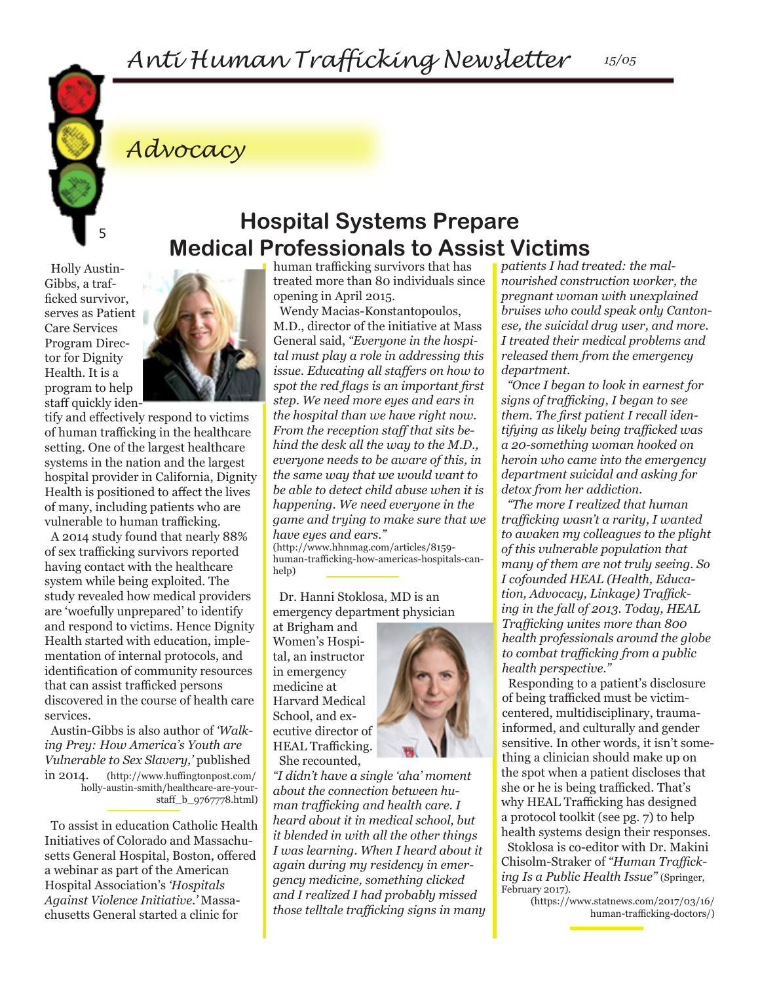

### *Advocacy*

Holly Austin-Gibbs, a trafficked survivor, serves as Patient Care Services Program Director for Dignity Health. It is a program to help staff quickly iden-



tify and effectively respond to victims of human trafficking in the healthcare setting. One of the largest healthcare systems in the nation and the largest hospital provider in California, Dignity Health is positioned to affect the lives of many, including patients who are vulnerable to human trafficking.

A 2014 study found that nearly 88% of sex trafficking survivors reported having contact with the healthcare system while being exploited. The study revealed how medical providers are 'woefully unprepared' to identify and respond to victims. Hence Dignity Health started with education, implementation of internal protocols, and identification of community resources that can assist trafficked persons discovered in the course of health care services.

Austin-Gibbs is also author of *'Walking Prey: How America's Youth are Vulnerable to Sex Slavery,'* published in 2014. (http://www.huffingtonpost.com/ holly-austin-smith/healthcare-are-yourstaff\_b\_9767778.html)

To assist in education Catholic Health Initiatives of Colorado and Massachusetts General Hospital, Boston, offered a webinar as part of the American Hospital Association's *'Hospitals Against Violence Initiative.'* Massachusetts General started a clinic for

human trafficking survivors that has treated more than 80 individuals since opening in April 2015.

**Hospital Systems Prepare** 

**Medical Professionals to Assist Victims**

Wendy Macias-Konstantopoulos, M.D., director of the initiative at Mass General said, *"Everyone in the hospital must play a role in addressing this issue. Educating all staffers on how to spot the red flags is an important first step. We need more eyes and ears in the hospital than we have right now. From the reception staff that sits behind the desk all the way to the M.D., everyone needs to be aware of this, in the same way that we would want to be able to detect child abuse when it is happening. We need everyone in the game and trying to make sure that we have eyes and ears."*

(http://www.hhnmag.com/articles/8159 human-trafficking-how-americas-hospitals-canhelp)

Dr. Hanni Stoklosa, MD is an emergency department physician

at Brigham and Women's Hospital, an instructor in emergency medicine at Harvard Medical School, and executive director of HEAL Trafficking. She recounted,

*"I didn't have a single 'aha' moment about the connection between human trafficking and health care. I heard about it in medical school, but it blended in with all the other things I was learning. When I heard about it again during my residency in emergency medicine, something clicked and I realized I had probably missed those telltale trafficking signs in many*  *patients I had treated: the malnourished construction worker, the pregnant woman with unexplained bruises who could speak only Cantonese, the suicidal drug user, and more. I treated their medical problems and released them from the emergency department.*

*"Once I began to look in earnest for signs of trafficking, I began to see them. The first patient I recall identifying as likely being trafficked was a 20-something woman hooked on heroin who came into the emergency department suicidal and asking for detox from her addiction.*

*"The more I realized that human trafficking wasn't a rarity, I wanted to awaken my colleagues to the plight of this vulnerable population that many of them are not truly seeing. So I cofounded HEAL (Health, Education, Advocacy, Linkage) Trafficking in the fall of 2013. Today, HEAL Trafficking unites more than 800 health professionals around the globe to combat trafficking from a public health perspective."*

Responding to a patient's disclosure of being trafficked must be victimcentered, multidisciplinary, traumainformed, and culturally and gender sensitive. In other words, it isn't something a clinician should make up on the spot when a patient discloses that she or he is being trafficked. That's why HEAL Trafficking has designed a protocol toolkit (see pg. 7) to help health systems design their responses. Stoklosa is co-editor with Dr. Makini Chisolm-Straker of *"Human Trafficking Is a Public Health Issue"* (Springer, February 2017).

(https://www.statnews.com/2017/03/16/ human-trafficking-doctors/)

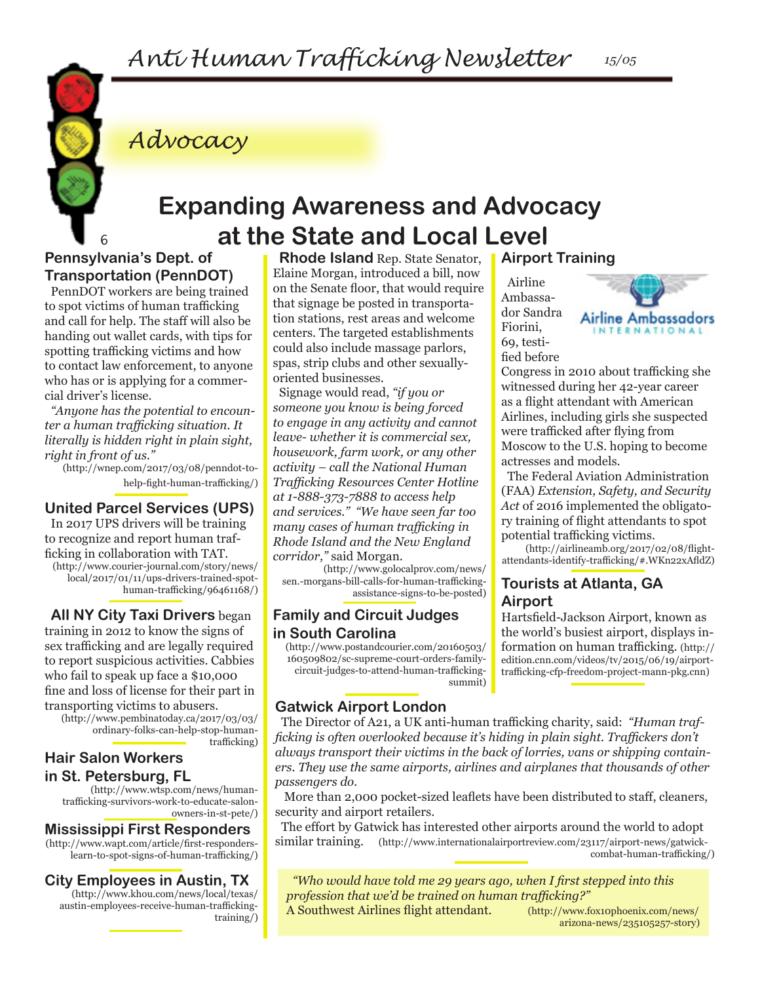

*Advocacy*

### **Expanding Awareness and Advocacy at the State and Local Level**

#### **Pennsylvania's Dept. of Transportation (PennDOT)**

PennDOT workers are being trained to spot victims of human trafficking and call for help. The staff will also be handing out wallet cards, with tips for spotting trafficking victims and how to contact law enforcement, to anyone who has or is applying for a commercial driver's license.

*"Anyone has the potential to encounter a human trafficking situation. It literally is hidden right in plain sight, right in front of us."*

(http://wnep.com/2017/03/08/penndot-tohelp-fight-human-trafficking/)

#### **United Parcel Services (UPS)**

In 2017 UPS drivers will be training to recognize and report human trafficking in collaboration with TAT.

(http://www.courier-journal.com/story/news/ local/2017/01/11/ups-drivers-trained-spothuman-trafficking/96461168/)

**All NY City Taxi Drivers** began training in 2o12 to know the signs of sex trafficking and are legally required to report suspicious activities. Cabbies who fail to speak up face a \$10,000 fine and loss of license for their part in transporting victims to abusers.

(http://www.pembinatoday.ca/2017/03/03/ ordinary-folks-can-help-stop-humantrafficking)

#### **Hair Salon Workers in St. Petersburg, FL**

(http://www.wtsp.com/news/humantrafficking-survivors-work-to-educate-salonowners-in-st-pete/)

#### **Mississippi First Responders**

(http://www.wapt.com/article/first-responderslearn-to-spot-signs-of-human-trafficking/)

#### **City Employees in Austin, TX**

(http://www.khou.com/news/local/texas/ austin-employees-receive-human-traffickingtraining/)

**Rhode Island** Rep. State Senator, Elaine Morgan, introduced a bill, now on the Senate floor, that would require that signage be posted in transportation stations, rest areas and welcome centers. The targeted establishments could also include massage parlors, spas, strip clubs and other sexuallyoriented businesses.

Signage would read, *"if you or someone you know is being forced to engage in any activity and cannot leave- whether it is commercial sex, housework, farm work, or any other activity – call the National Human Trafficking Resources Center Hotline at 1-888-373-7888 to access help and services." "We have seen far too many cases of human trafficking in Rhode Island and the New England corridor,"* said Morgan.

(http://www.golocalprov.com/news/ sen.-morgans-bill-calls-for-human-traffickingassistance-signs-to-be-posted)

#### **Family and Circuit Judges in South Carolina**

(http://www.postandcourier.com/20160503/ 160509802/sc-supreme-court-orders-familycircuit-judges-to-attend-human-traffickingsummit)

#### **Gatwick Airport London**

The Director of A21, a UK anti-human trafficking charity, said: *"Human trafficking is often overlooked because it's hiding in plain sight. Traffickers don't always transport their victims in the back of lorries, vans or shipping containers. They use the same airports, airlines and airplanes that thousands of other passengers do.* 

More than 2,000 pocket-sized leaflets have been distributed to staff, cleaners, security and airport retailers.

The effort by Gatwick has interested other airports around the world to adopt similar training. (http://www.internationalairportreview.com/23117/airport-news/gatwickcombat-human-trafficking/)

*"Who would have told me 29 years ago, when I first stepped into this profession that we'd be trained on human trafficking?"*  A Southwest Airlines flight attendant. (http://www.fox10phoenix.com/news/

**Airport Training**

Airline Ambassador Sandra Fiorini, 69, testified before



Congress in 2010 about trafficking she witnessed during her 42-year career as a flight attendant with American Airlines, including girls she suspected were trafficked after flying from Moscow to the U.S. hoping to become actresses and models.

The Federal Aviation Administration (FAA) *Extension, Safety, and Security Act* of 2016 implemented the obligatory training of flight attendants to spot potential trafficking victims.

(http://airlineamb.org/2017/02/08/flightattendants-identify-trafficking/#.WKn22xAfldZ)

#### **Tourists at Atlanta, GA Airport**

Hartsfield-Jackson Airport, known as the world's busiest airport, displays information on human trafficking. (http:// edition.cnn.com/videos/tv/2015/06/19/airporttrafficking-cfp-freedom-project-mann-pkg.cnn)

arizona-news/235105257-story)